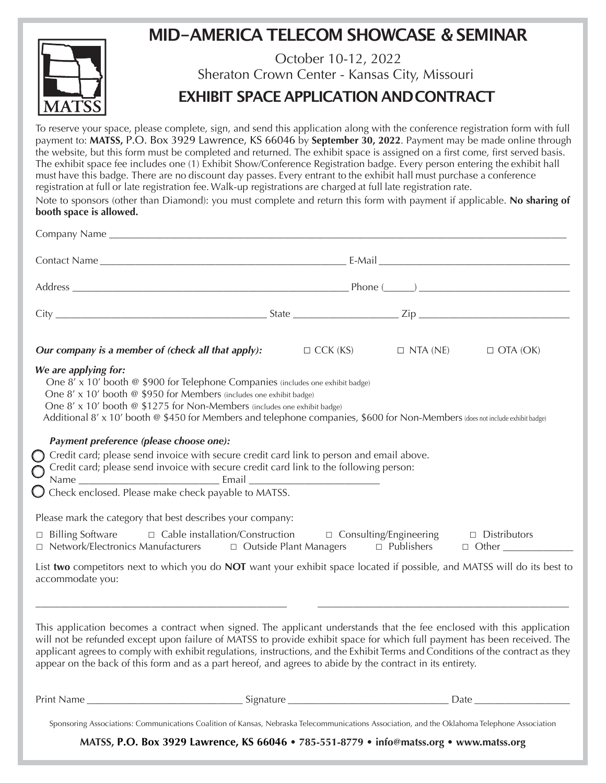## **MID-AMERICA TELECOM SHOWCASE & SEMINAR**



## October 10-12, 2022 Sheraton Crown Center - Kansas City, Missouri **EXHIBIT SPACE APPLICATION ANDCONTRACT**

To reserve your space, please complete, sign, and send this application along with the conference registration form with full payment to: **MATSS,** P.O. Box 3929 Lawrence, KS 66046 by **September 30, 2022**. Payment may be made online through the website, but this form must be completed and returned. The exhibit space is assigned on a first come, first served basis. The exhibit space fee includes one (1) Exhibit Show/Conference Registration badge. Every person entering the exhibit hall must have this badge. There are no discount day passes. Every entrant to the exhibit hall must purchase a conference registration at full or late registration fee. Walk-up registrations are charged at full late registration rate.

Note to sponsors (other than Diamond): you must complete and return this form with payment if applicable. **No sharing of booth space is allowed.**

| <b>Our company is a member of (check all that apply):</b> $\Box$ CCK (KS) $\Box$ NTA (NE)                                                                                                                                                                                                                                                                                                                                                                                                                                                                                                                                    |  |  | $\Box$ OTA (OK) |
|------------------------------------------------------------------------------------------------------------------------------------------------------------------------------------------------------------------------------------------------------------------------------------------------------------------------------------------------------------------------------------------------------------------------------------------------------------------------------------------------------------------------------------------------------------------------------------------------------------------------------|--|--|-----------------|
| We are applying for:<br>One 8' x 10' booth @ \$900 for Telephone Companies (includes one exhibit badge)<br>One 8' x 10' booth @ \$950 for Members (includes one exhibit badge)<br>One 8' x 10' booth @ \$1275 for Non-Members (includes one exhibit badge)<br>Additional 8' x 10' booth @ \$450 for Members and telephone companies, \$600 for Non-Members (does not include exhibit badge)<br>Payment preference (please choose one):<br>Credit card; please send invoice with secure credit card link to person and email above.<br>Credit card; please send invoice with secure credit card link to the following person: |  |  |                 |
| Check enclosed. Please make check payable to MATSS.                                                                                                                                                                                                                                                                                                                                                                                                                                                                                                                                                                          |  |  |                 |
| Please mark the category that best describes your company:<br>□ Cable installation/Construction □ Consulting/Engineering □ Distributors<br>$\Box$ Billing Software<br>□ Network/Electronics Manufacturers □ Outside Plant Managers □ Publishers □ Other __________                                                                                                                                                                                                                                                                                                                                                           |  |  |                 |
| List two competitors next to which you do NOT want your exhibit space located if possible, and MATSS will do its best to<br>accommodate you:                                                                                                                                                                                                                                                                                                                                                                                                                                                                                 |  |  |                 |
| This application becomes a contract when signed. The applicant understands that the fee enclosed with this application<br>will not be refunded except upon failure of MATSS to provide exhibit space for which full payment has been received. The<br>applicant agrees to comply with exhibit regulations, instructions, and the Exhibit Terms and Conditions of the contract as they<br>appear on the back of this form and as a part hereof, and agrees to abide by the contract in its entirety.                                                                                                                          |  |  |                 |
|                                                                                                                                                                                                                                                                                                                                                                                                                                                                                                                                                                                                                              |  |  |                 |
| Sponsoring Associations: Communications Coalition of Kansas, Nebraska Telecommunications Association, and the Oklahoma Telephone Association                                                                                                                                                                                                                                                                                                                                                                                                                                                                                 |  |  |                 |

**MATSS, P.O. Box 3929 Lawrence, KS 66046 • 785-551-8779 • info@matss.org • www.matss.org**